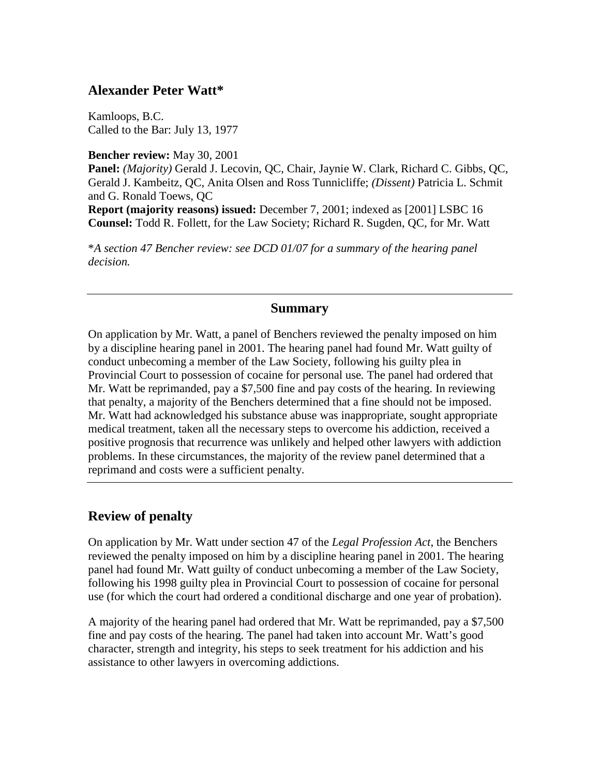## **Alexander Peter Watt\***

Kamloops, B.C. Called to the Bar: July 13, 1977

**Bencher review:** May 30, 2001

**Panel:** *(Majority)* Gerald J. Lecovin, QC, Chair, Jaynie W. Clark, Richard C. Gibbs, QC, Gerald J. Kambeitz, QC, Anita Olsen and Ross Tunnicliffe; *(Dissent)* Patricia L. Schmit and G. Ronald Toews, QC

**Report (majority reasons) issued:** December 7, 2001; indexed as [2001] LSBC 16 **Counsel:** Todd R. Follett, for the Law Society; Richard R. Sugden, QC, for Mr. Watt

\**A section 47 Bencher review: see DCD 01/07 for a summary of the hearing panel decision.* 

## **Summary**

On application by Mr. Watt, a panel of Benchers reviewed the penalty imposed on him by a discipline hearing panel in 2001. The hearing panel had found Mr. Watt guilty of conduct unbecoming a member of the Law Society, following his guilty plea in Provincial Court to possession of cocaine for personal use*.* The panel had ordered that Mr. Watt be reprimanded, pay a \$7,500 fine and pay costs of the hearing. In reviewing that penalty, a majority of the Benchers determined that a fine should not be imposed. Mr. Watt had acknowledged his substance abuse was inappropriate, sought appropriate medical treatment, taken all the necessary steps to overcome his addiction, received a positive prognosis that recurrence was unlikely and helped other lawyers with addiction problems. In these circumstances, the majority of the review panel determined that a reprimand and costs were a sufficient penalty.

## **Review of penalty**

On application by Mr. Watt under section 47 of the *Legal Profession Act*, the Benchers reviewed the penalty imposed on him by a discipline hearing panel in 2001. The hearing panel had found Mr. Watt guilty of conduct unbecoming a member of the Law Society, following his 1998 guilty plea in Provincial Court to possession of cocaine for personal use (for which the court had ordered a conditional discharge and one year of probation).

A majority of the hearing panel had ordered that Mr. Watt be reprimanded, pay a \$7,500 fine and pay costs of the hearing. The panel had taken into account Mr. Watt's good character, strength and integrity, his steps to seek treatment for his addiction and his assistance to other lawyers in overcoming addictions.